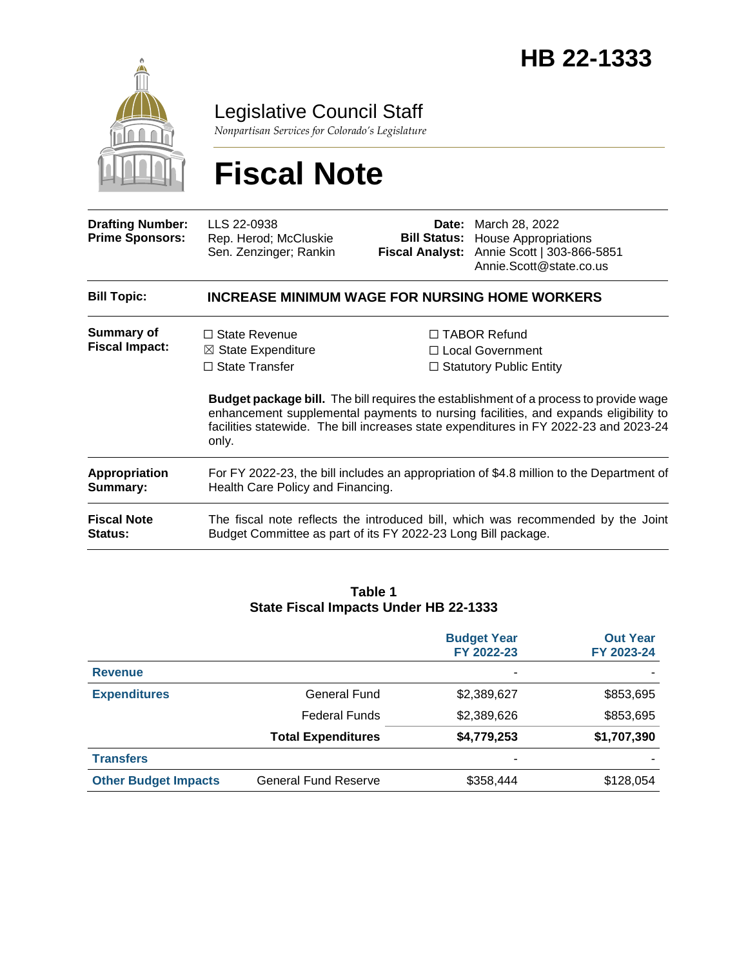

Legislative Council Staff

*Nonpartisan Services for Colorado's Legislature*

# **Fiscal Note**

| <b>Drafting Number:</b><br><b>Prime Sponsors:</b> | LLS 22-0938<br>Rep. Herod; McCluskie<br>Sen. Zenzinger; Rankin                                                                                                                        | Fiscal Analyst: | <b>Date:</b> March 28, 2022<br><b>Bill Status:</b> House Appropriations<br>Annie Scott   303-866-5851<br>Annie.Scott@state.co.us |  |  |
|---------------------------------------------------|---------------------------------------------------------------------------------------------------------------------------------------------------------------------------------------|-----------------|----------------------------------------------------------------------------------------------------------------------------------|--|--|
| <b>Bill Topic:</b>                                | <b>INCREASE MINIMUM WAGE FOR NURSING HOME WORKERS</b>                                                                                                                                 |                 |                                                                                                                                  |  |  |
| <b>Summary of</b><br><b>Fiscal Impact:</b>        | $\Box$ State Revenue<br>$\boxtimes$ State Expenditure                                                                                                                                 |                 | $\Box$ TABOR Refund<br>□ Local Government                                                                                        |  |  |
|                                                   | $\Box$ State Transfer<br>$\Box$ Statutory Public Entity<br><b>Budget package bill.</b> The bill requires the establishment of a process to provide wage                               |                 |                                                                                                                                  |  |  |
|                                                   | enhancement supplemental payments to nursing facilities, and expands eligibility to<br>facilities statewide. The bill increases state expenditures in FY 2022-23 and 2023-24<br>only. |                 |                                                                                                                                  |  |  |
| Appropriation<br>Summary:                         | For FY 2022-23, the bill includes an appropriation of \$4.8 million to the Department of<br>Health Care Policy and Financing.                                                         |                 |                                                                                                                                  |  |  |
| <b>Fiscal Note</b><br>Status:                     | The fiscal note reflects the introduced bill, which was recommended by the Joint<br>Budget Committee as part of its FY 2022-23 Long Bill package.                                     |                 |                                                                                                                                  |  |  |

#### **Table 1 State Fiscal Impacts Under HB 22-1333**

|                             |                             | <b>Budget Year</b><br>FY 2022-23 | <b>Out Year</b><br>FY 2023-24 |
|-----------------------------|-----------------------------|----------------------------------|-------------------------------|
| <b>Revenue</b>              |                             |                                  |                               |
| <b>Expenditures</b>         | General Fund                | \$2,389,627                      | \$853,695                     |
|                             | <b>Federal Funds</b>        | \$2,389,626                      | \$853,695                     |
|                             | <b>Total Expenditures</b>   | \$4,779,253                      | \$1,707,390                   |
| <b>Transfers</b>            |                             |                                  |                               |
| <b>Other Budget Impacts</b> | <b>General Fund Reserve</b> | \$358,444                        | \$128,054                     |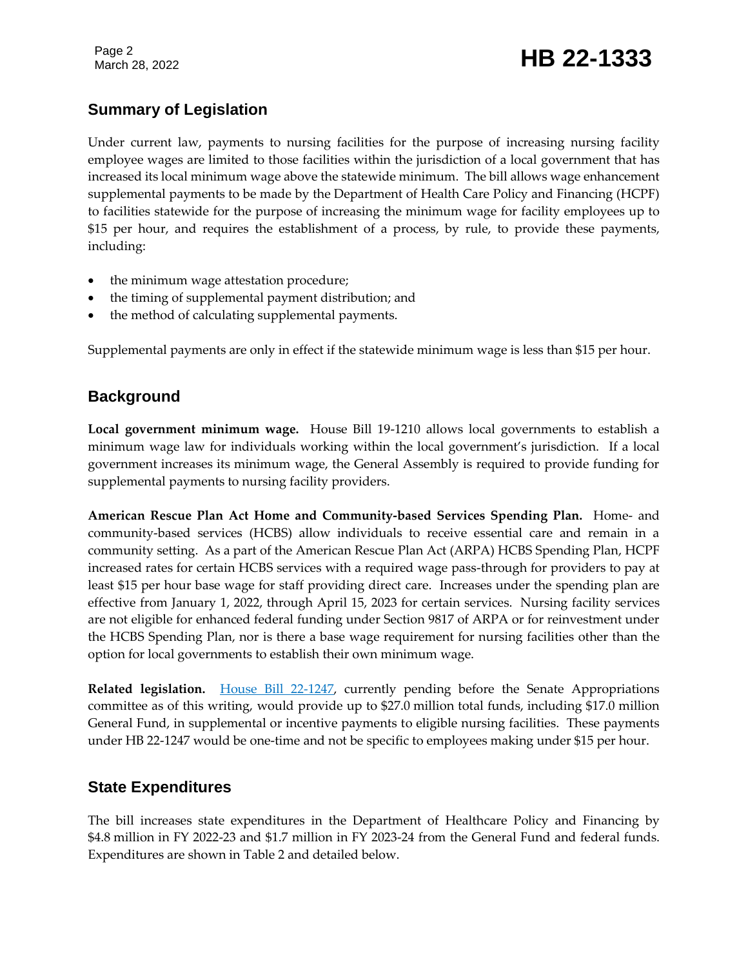# **Summary of Legislation**

Under current law, payments to nursing facilities for the purpose of increasing nursing facility employee wages are limited to those facilities within the jurisdiction of a local government that has increased its local minimum wage above the statewide minimum. The bill allows wage enhancement supplemental payments to be made by the Department of Health Care Policy and Financing (HCPF) to facilities statewide for the purpose of increasing the minimum wage for facility employees up to \$15 per hour, and requires the establishment of a process, by rule, to provide these payments, including:

- the minimum wage attestation procedure;
- the timing of supplemental payment distribution; and
- the method of calculating supplemental payments.

Supplemental payments are only in effect if the statewide minimum wage is less than \$15 per hour.

## **Background**

**Local government minimum wage.** House Bill 19-1210 allows local governments to establish a minimum wage law for individuals working within the local government's jurisdiction. If a local government increases its minimum wage, the General Assembly is required to provide funding for supplemental payments to nursing facility providers.

**American Rescue Plan Act Home and Community-based Services Spending Plan.** Home- and community-based services (HCBS) allow individuals to receive essential care and remain in a community setting. As a part of the American Rescue Plan Act (ARPA) HCBS Spending Plan, HCPF increased rates for certain HCBS services with a required wage pass-through for providers to pay at least \$15 per hour base wage for staff providing direct care. Increases under the spending plan are effective from January 1, 2022, through April 15, 2023 for certain services. Nursing facility services are not eligible for enhanced federal funding under Section 9817 of ARPA or for reinvestment under the HCBS Spending Plan, nor is there a base wage requirement for nursing facilities other than the option for local governments to establish their own minimum wage.

**Related legislation.** [House Bill 22-1247,](https://leg.colorado.gov/bills/hb22-1247) currently pending before the Senate Appropriations committee as of this writing, would provide up to \$27.0 million total funds, including \$17.0 million General Fund, in supplemental or incentive payments to eligible nursing facilities. These payments under HB 22-1247 would be one-time and not be specific to employees making under \$15 per hour.

# **State Expenditures**

The bill increases state expenditures in the Department of Healthcare Policy and Financing by \$4.8 million in FY 2022-23 and \$1.7 million in FY 2023-24 from the General Fund and federal funds. Expenditures are shown in Table 2 and detailed below.